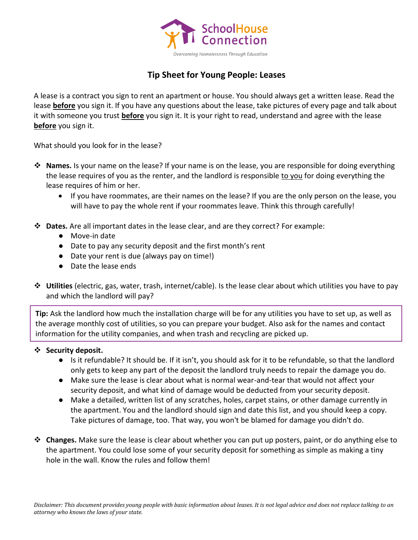

## **Tip Sheet for Young People: Leases**

A lease is a contract you sign to rent an apartment or house. You should always get a written lease. Read the lease **before** you sign it. If you have any questions about the lease, take pictures of every page and talk about it with someone you trust **before** you sign it. It is your right to read, understand and agree with the lease **before** you sign it.

What should you look for in the lease?

- ❖ **Names.** Is your name on the lease? If your name is on the lease, you are responsible for doing everything the lease requires of you as the renter, and the landlord is responsible to you for doing everything the lease requires of him or her.
	- If you have roommates, are their names on the lease? If you are the only person on the lease, you will have to pay the whole rent if your roommates leave. Think this through carefully!
- ❖ **Dates.** Are all important dates in the lease clear, and are they correct? For example:
	- Move-in date
	- Date to pay any security deposit and the first month's rent
	- Date your rent is due (always pay on time!)
	- Date the lease ends
- ❖ **Utilities** (electric, gas, water, trash, internet/cable). Is the lease clear about which utilities you have to pay and which the landlord will pay?

**Tip:** Ask the landlord how much the installation charge will be for any utilities you have to set up, as well as the average monthly cost of utilities, so you can prepare your budget. Also ask for the names and contact information for the utility companies, and when trash and recycling are picked up.

## ❖ **Security deposit.**

- Is it refundable? It should be. If it isn't, you should ask for it to be refundable, so that the landlord only gets to keep any part of the deposit the landlord truly needs to repair the damage you do.
- Make sure the lease is clear about what is normal wear-and-tear that would not affect your security deposit, and what kind of damage would be deducted from your security deposit.
- Make a detailed, written list of any scratches, holes, carpet stains, or other damage currently in the apartment. You and the landlord should sign and date this list, and you should keep a copy. Take pictures of damage, too. That way, you won't be blamed for damage you didn't do.
- ❖ **Changes.** Make sure the lease is clear about whether you can put up posters, paint, or do anything else to the apartment. You could lose some of your security deposit for something as simple as making a tiny hole in the wall. Know the rules and follow them!